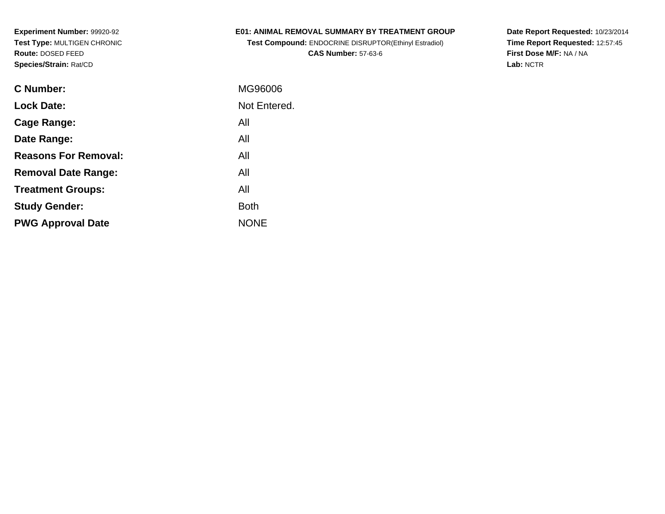## **E01: ANIMAL REMOVAL SUMMARY BY TREATMENT GROUP**

**Test Compound:** ENDOCRINE DISRUPTOR(Ethinyl Estradiol)**CAS Number:** 57-63-6

**Date Report Requested:** 10/23/2014 **Time Report Requested:** 12:57:45**First Dose M/F:** NA / NA**Lab:** NCTR

| C Number:                   | MG96006      |
|-----------------------------|--------------|
| <b>Lock Date:</b>           | Not Entered. |
| Cage Range:                 | All          |
| Date Range:                 | All          |
| <b>Reasons For Removal:</b> | All          |
| <b>Removal Date Range:</b>  | All          |
| <b>Treatment Groups:</b>    | All          |
| <b>Study Gender:</b>        | <b>Both</b>  |
| <b>PWG Approval Date</b>    | <b>NONE</b>  |
|                             |              |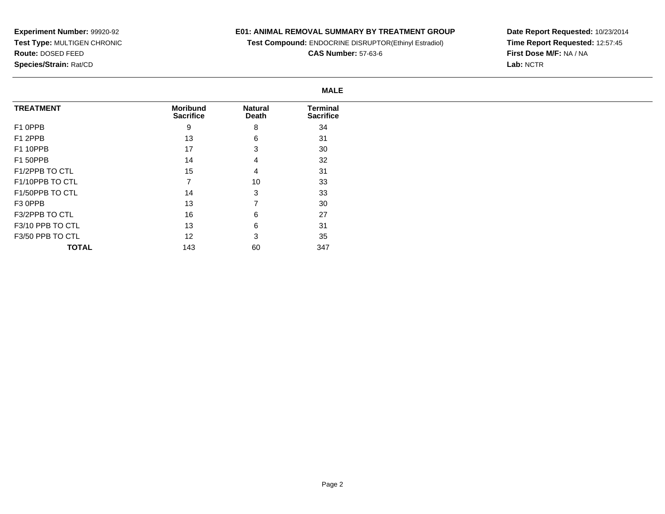**TOTAL**

143

60

## **E01: ANIMAL REMOVAL SUMMARY BY TREATMENT GROUP**

**Test Compound:** ENDOCRINE DISRUPTOR(Ethinyl Estradiol)

**CAS Number:** 57-63-6

**Date Report Requested:** 10/23/2014 **Time Report Requested:** 12:57:45**First Dose M/F:** NA / NA**Lab:** NCTR

|                  | <b>MALE</b>                         |                         |                                     |
|------------------|-------------------------------------|-------------------------|-------------------------------------|
| <b>TREATMENT</b> | <b>Moribund</b><br><b>Sacrifice</b> | <b>Natural</b><br>Death | <b>Terminal</b><br><b>Sacrifice</b> |
| F1 0PPB          | 9                                   | 8                       | 34                                  |
| F1 2PPB          | 13                                  | 6                       | 31                                  |
| F1 10PPB         | 17                                  | 3                       | 30                                  |
| F1 50PPB         | 14                                  | 4                       | 32                                  |
| F1/2PPB TO CTL   | 15                                  | 4                       | 31                                  |
| F1/10PPB TO CTL  |                                     | 10                      | 33                                  |
| F1/50PPB TO CTL  | 14                                  | 3                       | 33                                  |
| F3 0PPB          | 13                                  |                         | 30                                  |
| F3/2PPB TO CTL   | 16                                  | 6                       | 27                                  |
| F3/10 PPB TO CTL | 13                                  | 6                       | 31                                  |
| F3/50 PPB TO CTL | 12                                  | 3                       | 35                                  |

347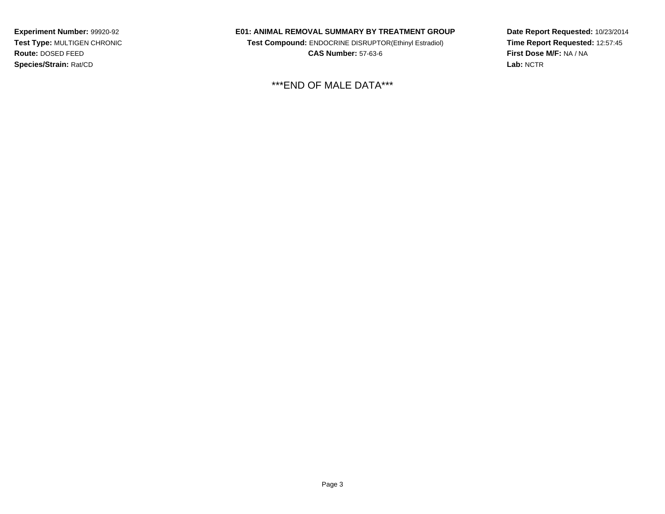### **E01: ANIMAL REMOVAL SUMMARY BY TREATMENT GROUP**

**Test Compound:** ENDOCRINE DISRUPTOR(Ethinyl Estradiol)**CAS Number:** 57-63-6

\*\*\*END OF MALE DATA\*\*\*

**Date Report Requested:** 10/23/2014**Time Report Requested:** 12:57:45**First Dose M/F:** NA / NA**Lab:** NCTR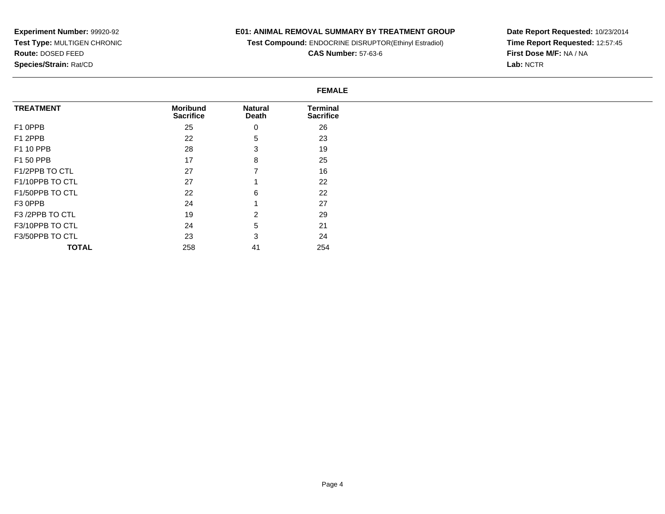## **E01: ANIMAL REMOVAL SUMMARY BY TREATMENT GROUP**

**Test Compound:** ENDOCRINE DISRUPTOR(Ethinyl Estradiol)

**CAS Number:** 57-63-6

**Date Report Requested:** 10/23/2014 **Time Report Requested:** 12:57:45**First Dose M/F:** NA / NA**Lab:** NCTR

#### **FEMALE**

| <b>TREATMENT</b> | <b>Moribund</b><br><b>Sacrifice</b> | <b>Natural</b><br>Death | <b>Terminal</b><br><b>Sacrifice</b> |
|------------------|-------------------------------------|-------------------------|-------------------------------------|
| F1 0PPB          | 25                                  | 0                       | 26                                  |
| F1 2PPB          | 22                                  | 5                       | 23                                  |
| F1 10 PPB        | 28                                  | 3                       | 19                                  |
| F1 50 PPB        | 17                                  | 8                       | 25                                  |
| F1/2PPB TO CTL   | 27                                  |                         | 16                                  |
| F1/10PPB TO CTL  | 27                                  |                         | 22                                  |
| F1/50PPB TO CTL  | 22                                  | 6                       | 22                                  |
| F3 OPPB          | 24                                  |                         | 27                                  |
| F3 /2PPB TO CTL  | 19                                  | $\overline{2}$          | 29                                  |
| F3/10PPB TO CTL  | 24                                  | 5                       | 21                                  |
| F3/50PPB TO CTL  | 23                                  | 3                       | 24                                  |
| <b>TOTAL</b>     | 258                                 | 41                      | 254                                 |